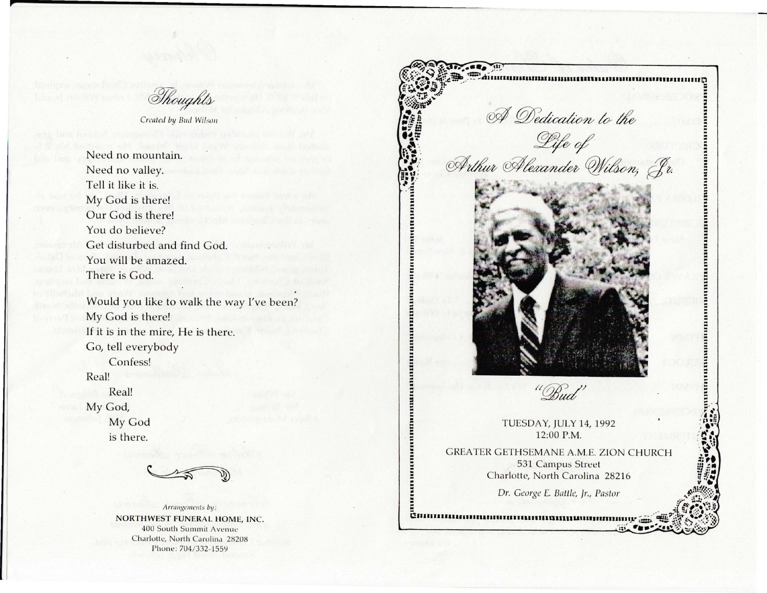Thoughts

Created by **Bud Wilson** 

Need no mountain. Need no valley. Tell it like it is. My God is there! Our God is there! You do believe? Get disturbed and find God. You will be amazed. There is God.

Would you like to walk the way I've been? My God is there! If it is in the mire, He is there. Go, tell everybody Confess!

Real!

Real! My God, My God is there.



Arrangements by: NORTHWEST FUNERAL HOME, INC. 400 South Summit Avenue Charlotte, North Carolina 28208 Phone: 704/332-1559



.. ..

.. .. .. .. .. :: .. .. .. .. .. .. .. .. .. .. .. .. .. .. .. .. ..

.. .. .. ..

.......<br>....... ~

TUESDAY, JULY 14, 1992 12:00 P.M.

GREATER GETHSEMANE A.M.E. ZION CHURCH 531 Campus Street Charlotte, North Carolina 28216

*Dr. George* £. *Baltle, Jr., Pastor* 

Communication communication and communication